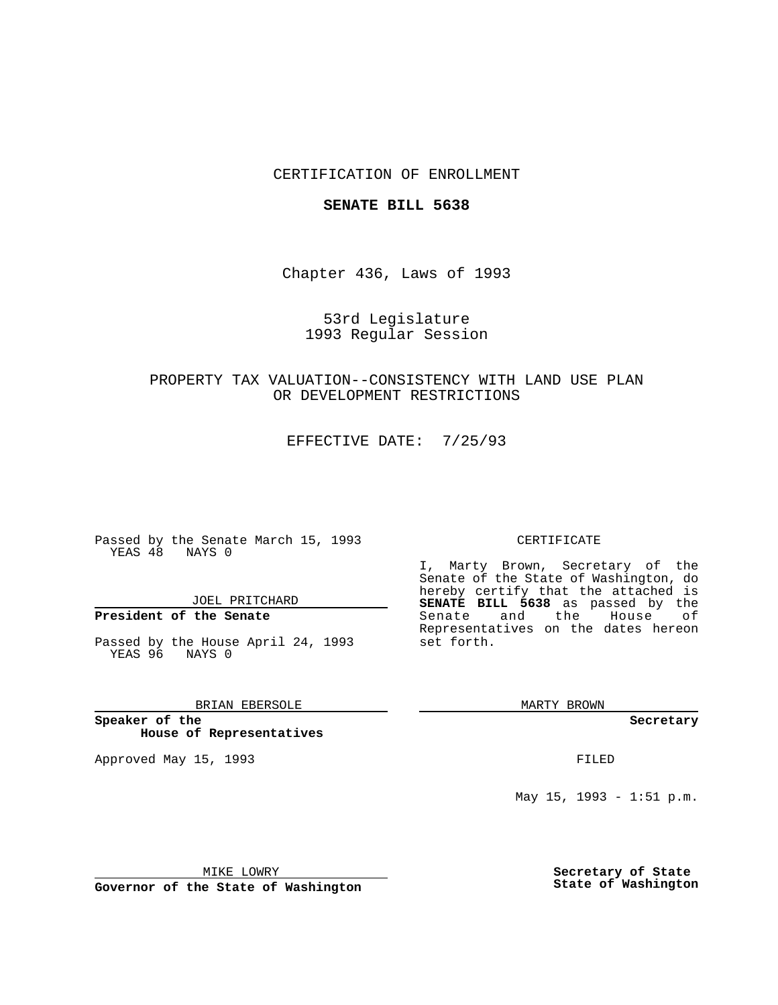## CERTIFICATION OF ENROLLMENT

### **SENATE BILL 5638**

Chapter 436, Laws of 1993

## 53rd Legislature 1993 Regular Session

## PROPERTY TAX VALUATION--CONSISTENCY WITH LAND USE PLAN OR DEVELOPMENT RESTRICTIONS

EFFECTIVE DATE: 7/25/93

Passed by the Senate March 15, 1993 YEAS 48 NAYS 0

JOEL PRITCHARD

# **President of the Senate**

Passed by the House April 24, 1993 YEAS 96 NAYS 0

### BRIAN EBERSOLE

**Speaker of the House of Representatives**

Approved May 15, 1993 **FILED** 

#### CERTIFICATE

I, Marty Brown, Secretary of the Senate of the State of Washington, do hereby certify that the attached is **SENATE BILL 5638** as passed by the Senate and the House of Representatives on the dates hereon set forth.

MARTY BROWN

**Secretary**

May 15, 1993 - 1:51 p.m.

MIKE LOWRY

**Governor of the State of Washington**

**Secretary of State State of Washington**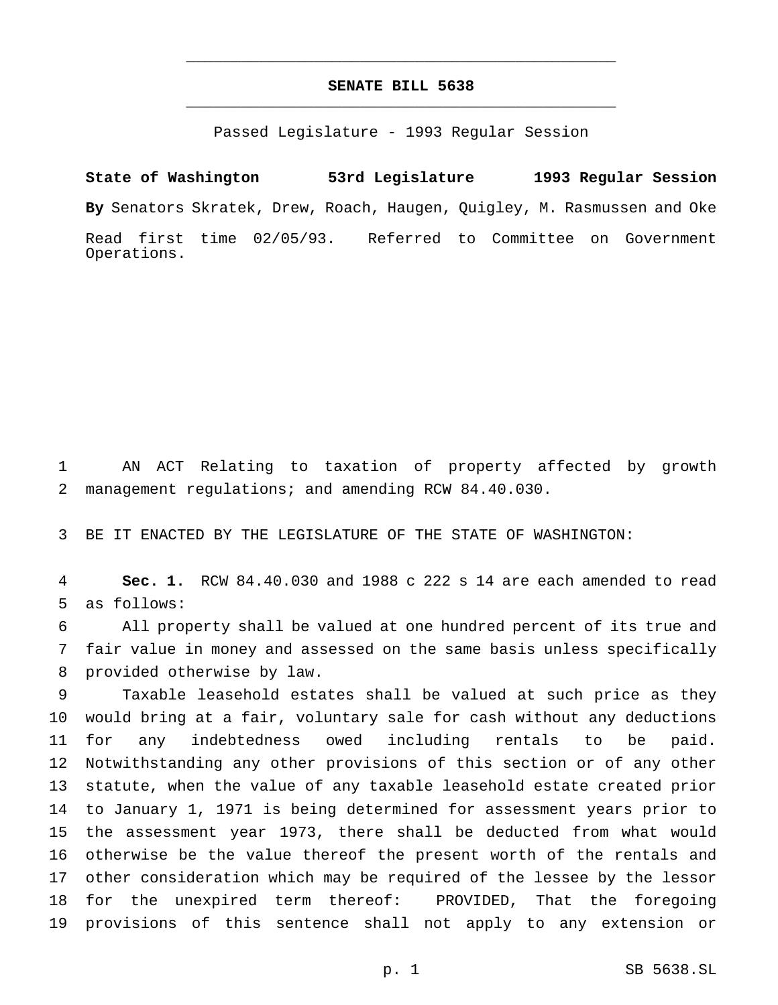## **SENATE BILL 5638** \_\_\_\_\_\_\_\_\_\_\_\_\_\_\_\_\_\_\_\_\_\_\_\_\_\_\_\_\_\_\_\_\_\_\_\_\_\_\_\_\_\_\_\_\_\_\_

\_\_\_\_\_\_\_\_\_\_\_\_\_\_\_\_\_\_\_\_\_\_\_\_\_\_\_\_\_\_\_\_\_\_\_\_\_\_\_\_\_\_\_\_\_\_\_

Passed Legislature - 1993 Regular Session

**State of Washington 53rd Legislature 1993 Regular Session By** Senators Skratek, Drew, Roach, Haugen, Quigley, M. Rasmussen and Oke Read first time 02/05/93. Referred to Committee on Government Operations.

 AN ACT Relating to taxation of property affected by growth management regulations; and amending RCW 84.40.030.

BE IT ENACTED BY THE LEGISLATURE OF THE STATE OF WASHINGTON:

 **Sec. 1.** RCW 84.40.030 and 1988 c 222 s 14 are each amended to read as follows:

 All property shall be valued at one hundred percent of its true and fair value in money and assessed on the same basis unless specifically provided otherwise by law.

 Taxable leasehold estates shall be valued at such price as they would bring at a fair, voluntary sale for cash without any deductions for any indebtedness owed including rentals to be paid. Notwithstanding any other provisions of this section or of any other statute, when the value of any taxable leasehold estate created prior to January 1, 1971 is being determined for assessment years prior to the assessment year 1973, there shall be deducted from what would otherwise be the value thereof the present worth of the rentals and other consideration which may be required of the lessee by the lessor for the unexpired term thereof: PROVIDED, That the foregoing provisions of this sentence shall not apply to any extension or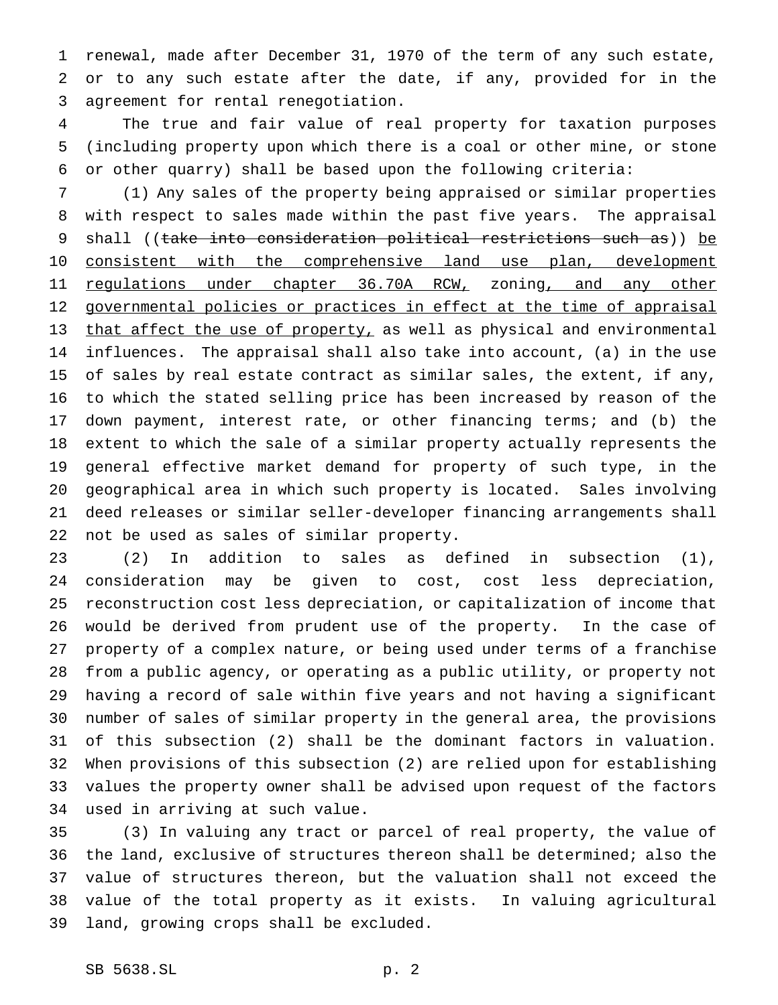renewal, made after December 31, 1970 of the term of any such estate, or to any such estate after the date, if any, provided for in the agreement for rental renegotiation.

 The true and fair value of real property for taxation purposes (including property upon which there is a coal or other mine, or stone or other quarry) shall be based upon the following criteria:

 (1) Any sales of the property being appraised or similar properties with respect to sales made within the past five years. The appraisal 9 shall ((take into consideration political restrictions such as)) be 10 consistent with the comprehensive land use plan, development 11 regulations under chapter 36.70A RCW, zoning, and any other 12 governmental policies or practices in effect at the time of appraisal 13 that affect the use of property, as well as physical and environmental influences. The appraisal shall also take into account, (a) in the use of sales by real estate contract as similar sales, the extent, if any, to which the stated selling price has been increased by reason of the down payment, interest rate, or other financing terms; and (b) the extent to which the sale of a similar property actually represents the general effective market demand for property of such type, in the geographical area in which such property is located. Sales involving deed releases or similar seller-developer financing arrangements shall not be used as sales of similar property.

 (2) In addition to sales as defined in subsection (1), consideration may be given to cost, cost less depreciation, reconstruction cost less depreciation, or capitalization of income that would be derived from prudent use of the property. In the case of property of a complex nature, or being used under terms of a franchise from a public agency, or operating as a public utility, or property not having a record of sale within five years and not having a significant number of sales of similar property in the general area, the provisions of this subsection (2) shall be the dominant factors in valuation. When provisions of this subsection (2) are relied upon for establishing values the property owner shall be advised upon request of the factors used in arriving at such value.

 (3) In valuing any tract or parcel of real property, the value of the land, exclusive of structures thereon shall be determined; also the value of structures thereon, but the valuation shall not exceed the value of the total property as it exists. In valuing agricultural land, growing crops shall be excluded.